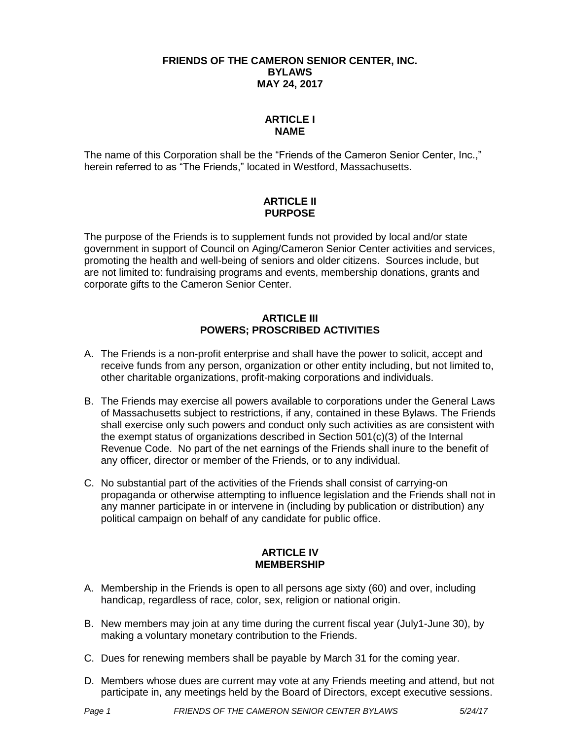#### **FRIENDS OF THE CAMERON SENIOR CENTER, INC. BYLAWS MAY 24, 2017**

# **ARTICLE I NAME**

The name of this Corporation shall be the "Friends of the Cameron Senior Center, Inc.," herein referred to as "The Friends," located in Westford, Massachusetts.

# **ARTICLE II PURPOSE**

The purpose of the Friends is to supplement funds not provided by local and/or state government in support of Council on Aging/Cameron Senior Center activities and services, promoting the health and well-being of seniors and older citizens. Sources include, but are not limited to: fundraising programs and events, membership donations, grants and corporate gifts to the Cameron Senior Center.

### **ARTICLE III POWERS; PROSCRIBED ACTIVITIES**

- A. The Friends is a non-profit enterprise and shall have the power to solicit, accept and receive funds from any person, organization or other entity including, but not limited to, other charitable organizations, profit-making corporations and individuals.
- B. The Friends may exercise all powers available to corporations under the General Laws of Massachusetts subject to restrictions, if any, contained in these Bylaws. The Friends shall exercise only such powers and conduct only such activities as are consistent with the exempt status of organizations described in Section 501(c)(3) of the Internal Revenue Code. No part of the net earnings of the Friends shall inure to the benefit of any officer, director or member of the Friends, or to any individual.
- C. No substantial part of the activities of the Friends shall consist of carrying-on propaganda or otherwise attempting to influence legislation and the Friends shall not in any manner participate in or intervene in (including by publication or distribution) any political campaign on behalf of any candidate for public office.

### **ARTICLE IV MEMBERSHIP**

- A. Membership in the Friends is open to all persons age sixty (60) and over, including handicap, regardless of race, color, sex, religion or national origin.
- B. New members may join at any time during the current fiscal year (July1-June 30), by making a voluntary monetary contribution to the Friends.
- C. Dues for renewing members shall be payable by March 31 for the coming year.
- D. Members whose dues are current may vote at any Friends meeting and attend, but not participate in, any meetings held by the Board of Directors, except executive sessions.

*Page 1 FRIENDS OF THE CAMERON SENIOR CENTER BYLAWS 5/24/17*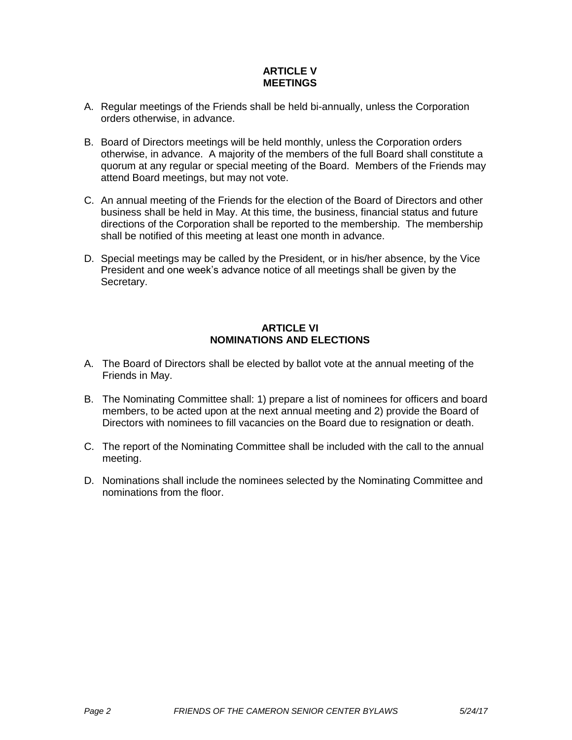# **ARTICLE V MEETINGS**

- A. Regular meetings of the Friends shall be held bi-annually, unless the Corporation orders otherwise, in advance.
- B. Board of Directors meetings will be held monthly, unless the Corporation orders otherwise, in advance. A majority of the members of the full Board shall constitute a quorum at any regular or special meeting of the Board. Members of the Friends may attend Board meetings, but may not vote.
- C. An annual meeting of the Friends for the election of the Board of Directors and other business shall be held in May. At this time, the business, financial status and future directions of the Corporation shall be reported to the membership. The membership shall be notified of this meeting at least one month in advance.
- D. Special meetings may be called by the President, or in his/her absence, by the Vice President and one week's advance notice of all meetings shall be given by the Secretary.

# **ARTICLE VI NOMINATIONS AND ELECTIONS**

- A. The Board of Directors shall be elected by ballot vote at the annual meeting of the Friends in May.
- B. The Nominating Committee shall: 1) prepare a list of nominees for officers and board members, to be acted upon at the next annual meeting and 2) provide the Board of Directors with nominees to fill vacancies on the Board due to resignation or death.
- C. The report of the Nominating Committee shall be included with the call to the annual meeting.
- D. Nominations shall include the nominees selected by the Nominating Committee and nominations from the floor.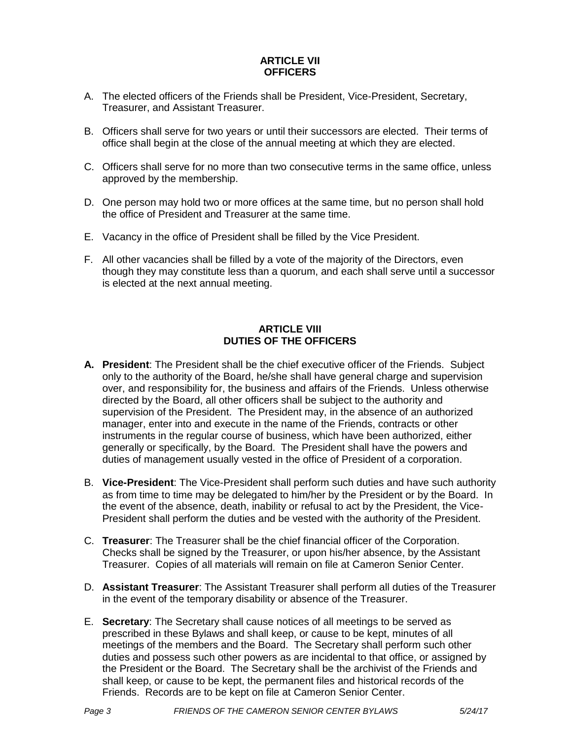### **ARTICLE VII OFFICERS**

- A. The elected officers of the Friends shall be President, Vice-President, Secretary, Treasurer, and Assistant Treasurer.
- B. Officers shall serve for two years or until their successors are elected. Their terms of office shall begin at the close of the annual meeting at which they are elected.
- C. Officers shall serve for no more than two consecutive terms in the same office, unless approved by the membership.
- D. One person may hold two or more offices at the same time, but no person shall hold the office of President and Treasurer at the same time.
- E. Vacancy in the office of President shall be filled by the Vice President.
- F. All other vacancies shall be filled by a vote of the majority of the Directors, even though they may constitute less than a quorum, and each shall serve until a successor is elected at the next annual meeting.

# **ARTICLE VIII DUTIES OF THE OFFICERS**

- **A. President**: The President shall be the chief executive officer of the Friends. Subject only to the authority of the Board, he/she shall have general charge and supervision over, and responsibility for, the business and affairs of the Friends. Unless otherwise directed by the Board, all other officers shall be subject to the authority and supervision of the President. The President may, in the absence of an authorized manager, enter into and execute in the name of the Friends, contracts or other instruments in the regular course of business, which have been authorized, either generally or specifically, by the Board. The President shall have the powers and duties of management usually vested in the office of President of a corporation.
- B. **Vice-President**: The Vice-President shall perform such duties and have such authority as from time to time may be delegated to him/her by the President or by the Board. In the event of the absence, death, inability or refusal to act by the President, the Vice-President shall perform the duties and be vested with the authority of the President.
- C. **Treasurer**: The Treasurer shall be the chief financial officer of the Corporation. Checks shall be signed by the Treasurer, or upon his/her absence, by the Assistant Treasurer. Copies of all materials will remain on file at Cameron Senior Center.
- D. **Assistant Treasurer**: The Assistant Treasurer shall perform all duties of the Treasurer in the event of the temporary disability or absence of the Treasurer.
- E. **Secretary**: The Secretary shall cause notices of all meetings to be served as prescribed in these Bylaws and shall keep, or cause to be kept, minutes of all meetings of the members and the Board. The Secretary shall perform such other duties and possess such other powers as are incidental to that office, or assigned by the President or the Board. The Secretary shall be the archivist of the Friends and shall keep, or cause to be kept, the permanent files and historical records of the Friends. Records are to be kept on file at Cameron Senior Center.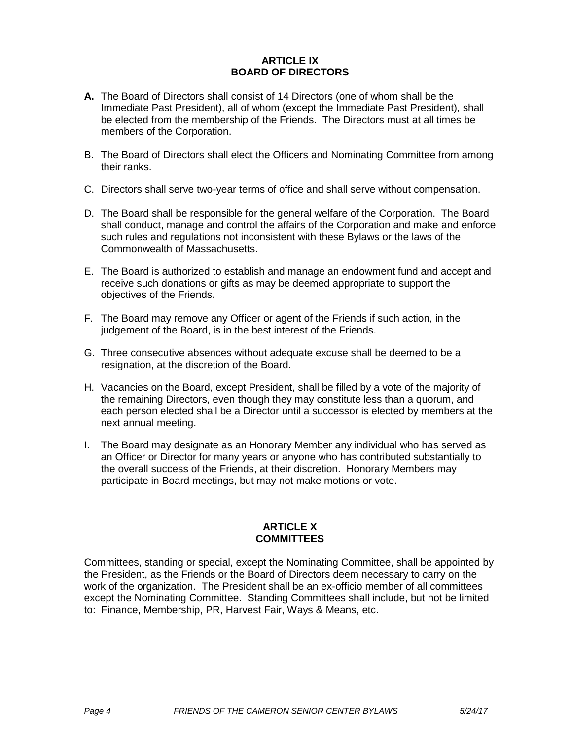### **ARTICLE IX BOARD OF DIRECTORS**

- **A.** The Board of Directors shall consist of 14 Directors (one of whom shall be the Immediate Past President), all of whom (except the Immediate Past President), shall be elected from the membership of the Friends. The Directors must at all times be members of the Corporation.
- B. The Board of Directors shall elect the Officers and Nominating Committee from among their ranks.
- C. Directors shall serve two-year terms of office and shall serve without compensation.
- D. The Board shall be responsible for the general welfare of the Corporation. The Board shall conduct, manage and control the affairs of the Corporation and make and enforce such rules and regulations not inconsistent with these Bylaws or the laws of the Commonwealth of Massachusetts.
- E. The Board is authorized to establish and manage an endowment fund and accept and receive such donations or gifts as may be deemed appropriate to support the objectives of the Friends.
- F. The Board may remove any Officer or agent of the Friends if such action, in the judgement of the Board, is in the best interest of the Friends.
- G. Three consecutive absences without adequate excuse shall be deemed to be a resignation, at the discretion of the Board.
- H. Vacancies on the Board, except President, shall be filled by a vote of the majority of the remaining Directors, even though they may constitute less than a quorum, and each person elected shall be a Director until a successor is elected by members at the next annual meeting.
- I. The Board may designate as an Honorary Member any individual who has served as an Officer or Director for many years or anyone who has contributed substantially to the overall success of the Friends, at their discretion. Honorary Members may participate in Board meetings, but may not make motions or vote.

### **ARTICLE X COMMITTEES**

Committees, standing or special, except the Nominating Committee, shall be appointed by the President, as the Friends or the Board of Directors deem necessary to carry on the work of the organization. The President shall be an ex-officio member of all committees except the Nominating Committee. Standing Committees shall include, but not be limited to: Finance, Membership, PR, Harvest Fair, Ways & Means, etc.